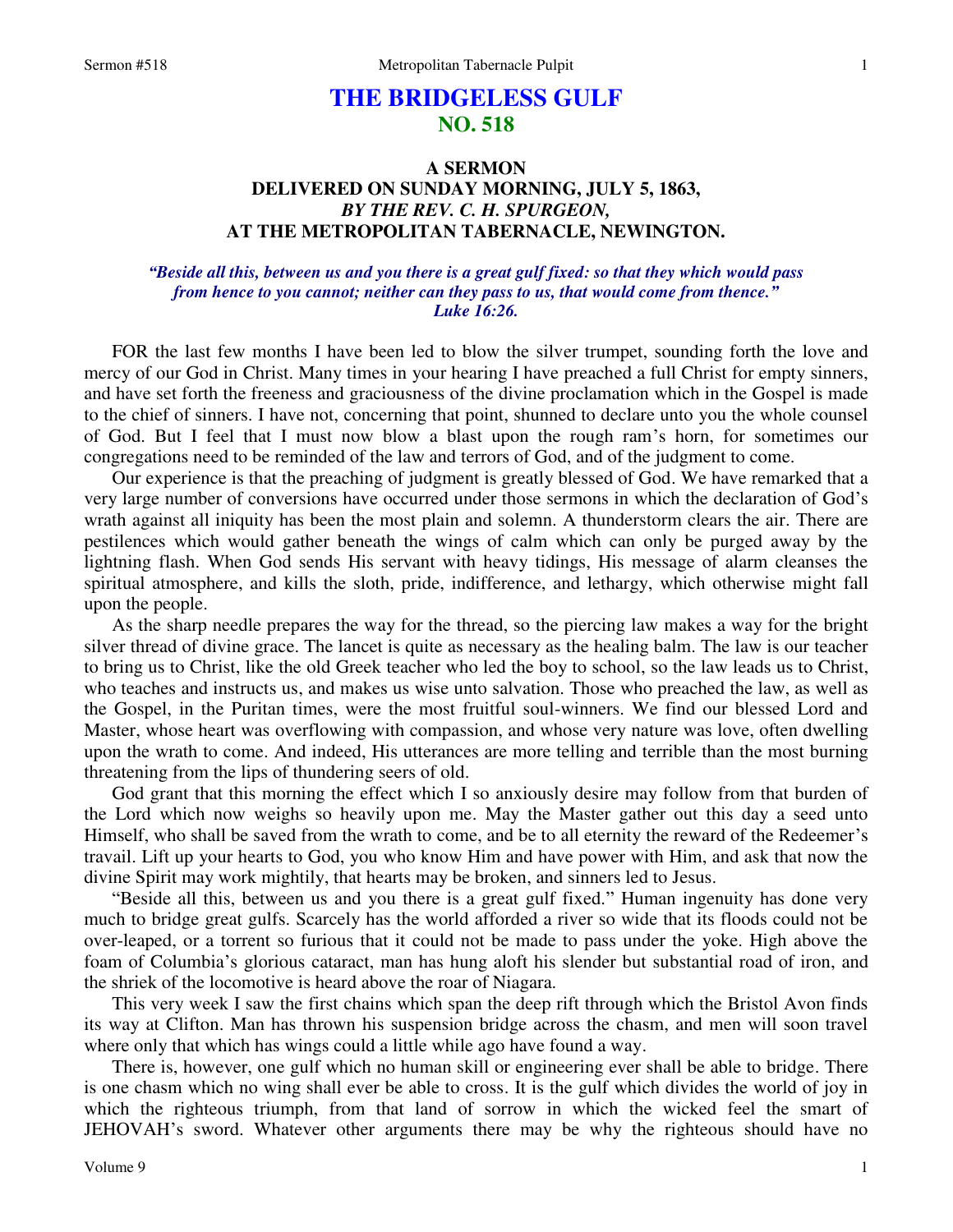# **THE BRIDGELESS GULF NO. 518**

# **A SERMON DELIVERED ON SUNDAY MORNING, JULY 5, 1863,**  *BY THE REV. C. H. SPURGEON,*  **AT THE METROPOLITAN TABERNACLE, NEWINGTON.**

#### *"Beside all this, between us and you there is a great gulf fixed: so that they which would pass from hence to you cannot; neither can they pass to us, that would come from thence." Luke 16:26.*

FOR the last few months I have been led to blow the silver trumpet, sounding forth the love and mercy of our God in Christ. Many times in your hearing I have preached a full Christ for empty sinners, and have set forth the freeness and graciousness of the divine proclamation which in the Gospel is made to the chief of sinners. I have not, concerning that point, shunned to declare unto you the whole counsel of God. But I feel that I must now blow a blast upon the rough ram's horn, for sometimes our congregations need to be reminded of the law and terrors of God, and of the judgment to come.

Our experience is that the preaching of judgment is greatly blessed of God. We have remarked that a very large number of conversions have occurred under those sermons in which the declaration of God's wrath against all iniquity has been the most plain and solemn. A thunderstorm clears the air. There are pestilences which would gather beneath the wings of calm which can only be purged away by the lightning flash. When God sends His servant with heavy tidings, His message of alarm cleanses the spiritual atmosphere, and kills the sloth, pride, indifference, and lethargy, which otherwise might fall upon the people.

As the sharp needle prepares the way for the thread, so the piercing law makes a way for the bright silver thread of divine grace. The lancet is quite as necessary as the healing balm. The law is our teacher to bring us to Christ, like the old Greek teacher who led the boy to school, so the law leads us to Christ, who teaches and instructs us, and makes us wise unto salvation. Those who preached the law, as well as the Gospel, in the Puritan times, were the most fruitful soul-winners. We find our blessed Lord and Master, whose heart was overflowing with compassion, and whose very nature was love, often dwelling upon the wrath to come. And indeed, His utterances are more telling and terrible than the most burning threatening from the lips of thundering seers of old.

God grant that this morning the effect which I so anxiously desire may follow from that burden of the Lord which now weighs so heavily upon me. May the Master gather out this day a seed unto Himself, who shall be saved from the wrath to come, and be to all eternity the reward of the Redeemer's travail. Lift up your hearts to God, you who know Him and have power with Him, and ask that now the divine Spirit may work mightily, that hearts may be broken, and sinners led to Jesus.

"Beside all this, between us and you there is a great gulf fixed." Human ingenuity has done very much to bridge great gulfs. Scarcely has the world afforded a river so wide that its floods could not be over-leaped, or a torrent so furious that it could not be made to pass under the yoke. High above the foam of Columbia's glorious cataract, man has hung aloft his slender but substantial road of iron, and the shriek of the locomotive is heard above the roar of Niagara.

This very week I saw the first chains which span the deep rift through which the Bristol Avon finds its way at Clifton. Man has thrown his suspension bridge across the chasm, and men will soon travel where only that which has wings could a little while ago have found a way.

There is, however, one gulf which no human skill or engineering ever shall be able to bridge. There is one chasm which no wing shall ever be able to cross. It is the gulf which divides the world of joy in which the righteous triumph, from that land of sorrow in which the wicked feel the smart of JEHOVAH's sword. Whatever other arguments there may be why the righteous should have no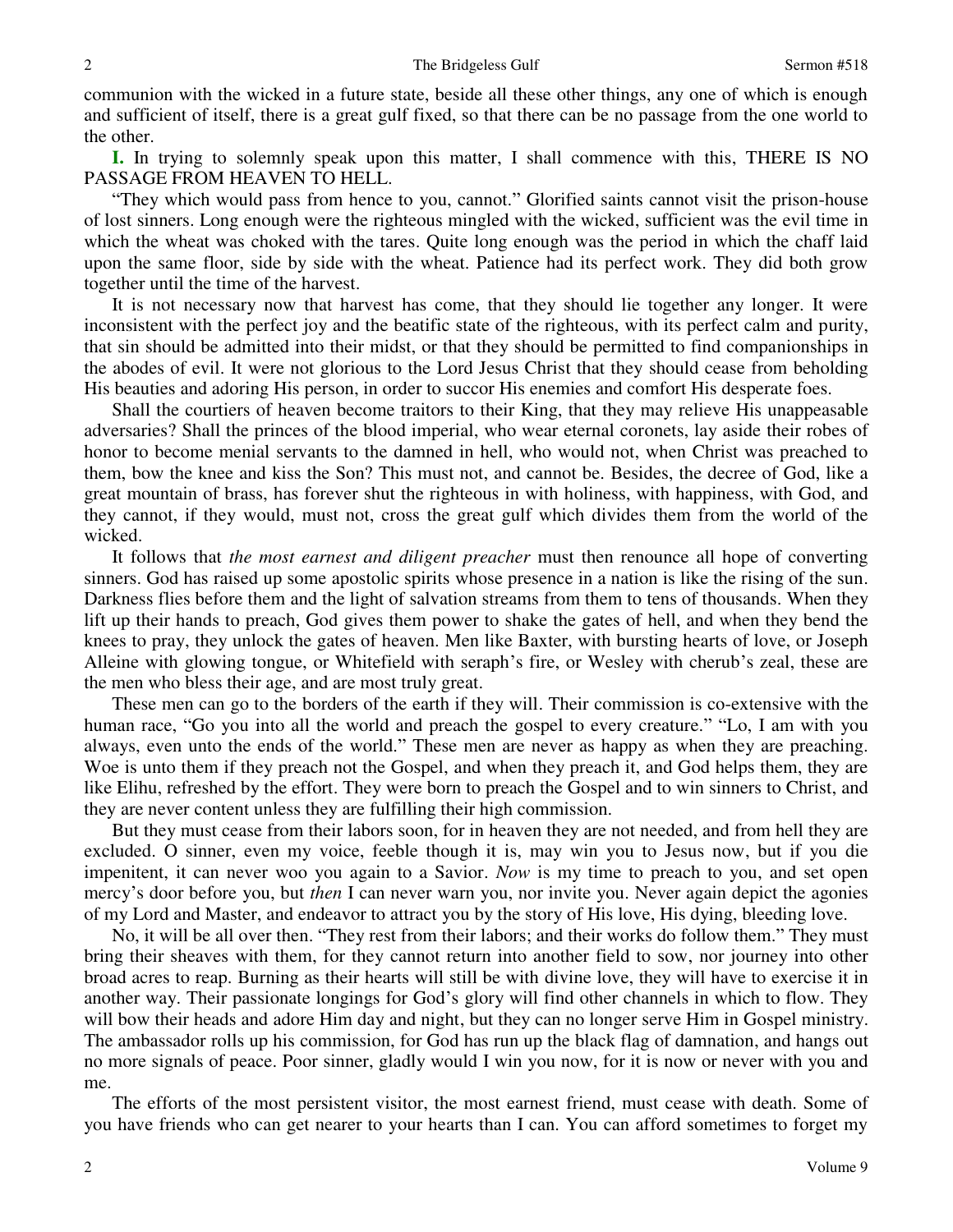communion with the wicked in a future state, beside all these other things, any one of which is enough and sufficient of itself, there is a great gulf fixed, so that there can be no passage from the one world to the other.

**I.** In trying to solemnly speak upon this matter, I shall commence with this, THERE IS NO PASSAGE FROM HEAVEN TO HELL.

"They which would pass from hence to you, cannot." Glorified saints cannot visit the prison-house of lost sinners. Long enough were the righteous mingled with the wicked, sufficient was the evil time in which the wheat was choked with the tares. Quite long enough was the period in which the chaff laid upon the same floor, side by side with the wheat. Patience had its perfect work. They did both grow together until the time of the harvest.

It is not necessary now that harvest has come, that they should lie together any longer. It were inconsistent with the perfect joy and the beatific state of the righteous, with its perfect calm and purity, that sin should be admitted into their midst, or that they should be permitted to find companionships in the abodes of evil. It were not glorious to the Lord Jesus Christ that they should cease from beholding His beauties and adoring His person, in order to succor His enemies and comfort His desperate foes.

Shall the courtiers of heaven become traitors to their King, that they may relieve His unappeasable adversaries? Shall the princes of the blood imperial, who wear eternal coronets, lay aside their robes of honor to become menial servants to the damned in hell, who would not, when Christ was preached to them, bow the knee and kiss the Son? This must not, and cannot be. Besides, the decree of God, like a great mountain of brass, has forever shut the righteous in with holiness, with happiness, with God, and they cannot, if they would, must not, cross the great gulf which divides them from the world of the wicked.

It follows that *the most earnest and diligent preacher* must then renounce all hope of converting sinners. God has raised up some apostolic spirits whose presence in a nation is like the rising of the sun. Darkness flies before them and the light of salvation streams from them to tens of thousands. When they lift up their hands to preach, God gives them power to shake the gates of hell, and when they bend the knees to pray, they unlock the gates of heaven. Men like Baxter, with bursting hearts of love, or Joseph Alleine with glowing tongue, or Whitefield with seraph's fire, or Wesley with cherub's zeal, these are the men who bless their age, and are most truly great.

These men can go to the borders of the earth if they will. Their commission is co-extensive with the human race, "Go you into all the world and preach the gospel to every creature." "Lo, I am with you always, even unto the ends of the world." These men are never as happy as when they are preaching. Woe is unto them if they preach not the Gospel, and when they preach it, and God helps them, they are like Elihu, refreshed by the effort. They were born to preach the Gospel and to win sinners to Christ, and they are never content unless they are fulfilling their high commission.

But they must cease from their labors soon, for in heaven they are not needed, and from hell they are excluded. O sinner, even my voice, feeble though it is, may win you to Jesus now, but if you die impenitent, it can never woo you again to a Savior. *Now* is my time to preach to you, and set open mercy's door before you, but *then* I can never warn you, nor invite you. Never again depict the agonies of my Lord and Master, and endeavor to attract you by the story of His love, His dying, bleeding love.

No, it will be all over then. "They rest from their labors; and their works do follow them." They must bring their sheaves with them, for they cannot return into another field to sow, nor journey into other broad acres to reap. Burning as their hearts will still be with divine love, they will have to exercise it in another way. Their passionate longings for God's glory will find other channels in which to flow. They will bow their heads and adore Him day and night, but they can no longer serve Him in Gospel ministry. The ambassador rolls up his commission, for God has run up the black flag of damnation, and hangs out no more signals of peace. Poor sinner, gladly would I win you now, for it is now or never with you and me.

The efforts of the most persistent visitor, the most earnest friend, must cease with death. Some of you have friends who can get nearer to your hearts than I can. You can afford sometimes to forget my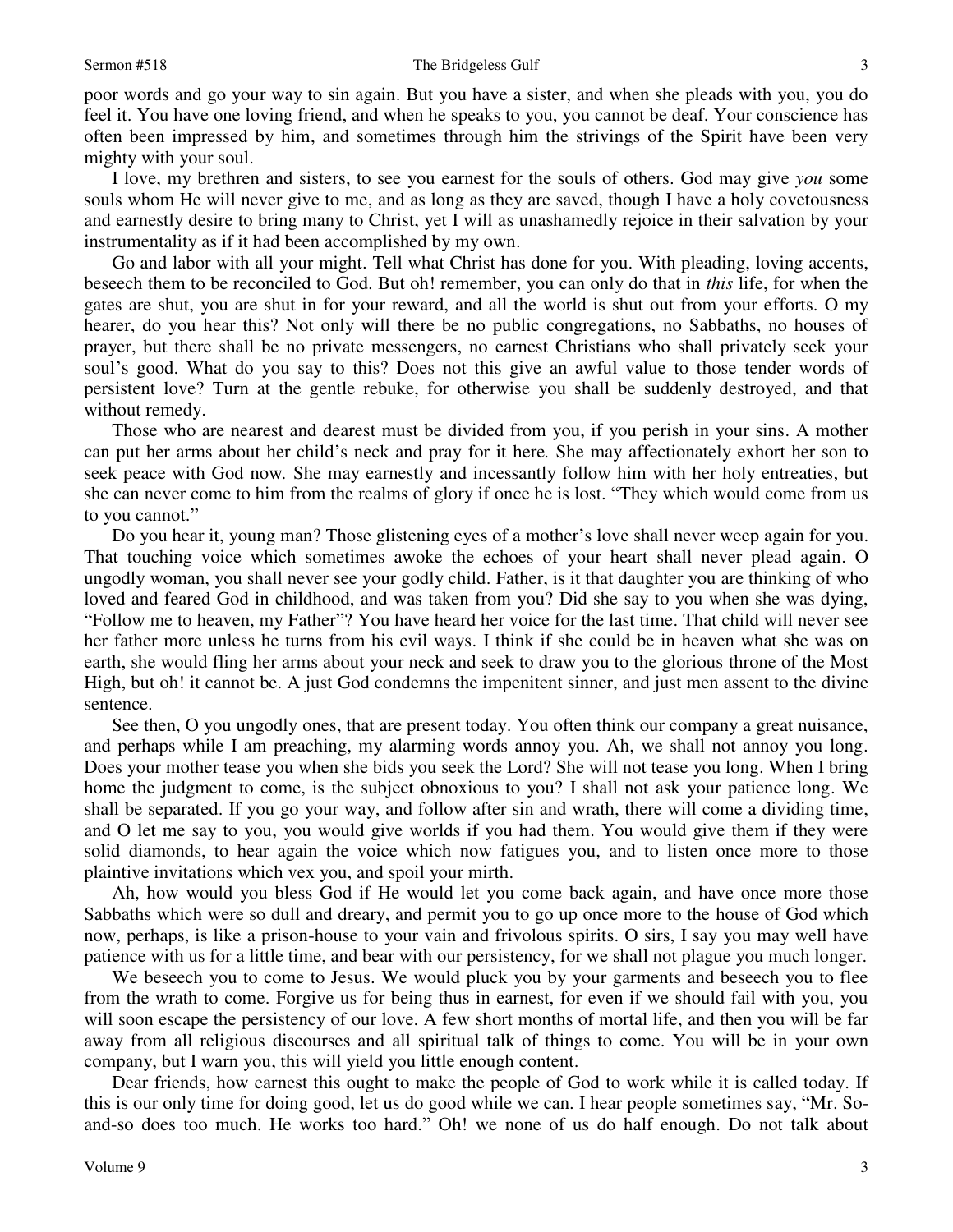#### Sermon #518 The Bridgeless Gulf

poor words and go your way to sin again. But you have a sister, and when she pleads with you, you do feel it. You have one loving friend, and when he speaks to you, you cannot be deaf. Your conscience has often been impressed by him, and sometimes through him the strivings of the Spirit have been very mighty with your soul.

I love, my brethren and sisters, to see you earnest for the souls of others. God may give *you* some souls whom He will never give to me, and as long as they are saved, though I have a holy covetousness and earnestly desire to bring many to Christ, yet I will as unashamedly rejoice in their salvation by your instrumentality as if it had been accomplished by my own.

Go and labor with all your might. Tell what Christ has done for you. With pleading, loving accents, beseech them to be reconciled to God. But oh! remember, you can only do that in *this* life, for when the gates are shut, you are shut in for your reward, and all the world is shut out from your efforts. O my hearer, do you hear this? Not only will there be no public congregations, no Sabbaths, no houses of prayer, but there shall be no private messengers, no earnest Christians who shall privately seek your soul's good. What do you say to this? Does not this give an awful value to those tender words of persistent love? Turn at the gentle rebuke, for otherwise you shall be suddenly destroyed, and that without remedy.

Those who are nearest and dearest must be divided from you, if you perish in your sins. A mother can put her arms about her child's neck and pray for it here*.* She may affectionately exhort her son to seek peace with God now*.* She may earnestly and incessantly follow him with her holy entreaties, but she can never come to him from the realms of glory if once he is lost. "They which would come from us to you cannot."

Do you hear it, young man? Those glistening eyes of a mother's love shall never weep again for you. That touching voice which sometimes awoke the echoes of your heart shall never plead again. O ungodly woman, you shall never see your godly child. Father, is it that daughter you are thinking of who loved and feared God in childhood, and was taken from you? Did she say to you when she was dying, "Follow me to heaven, my Father"? You have heard her voice for the last time. That child will never see her father more unless he turns from his evil ways. I think if she could be in heaven what she was on earth, she would fling her arms about your neck and seek to draw you to the glorious throne of the Most High, but oh! it cannot be. A just God condemns the impenitent sinner, and just men assent to the divine sentence.

See then, O you ungodly ones, that are present today. You often think our company a great nuisance, and perhaps while I am preaching, my alarming words annoy you. Ah, we shall not annoy you long. Does your mother tease you when she bids you seek the Lord? She will not tease you long. When I bring home the judgment to come, is the subject obnoxious to you? I shall not ask your patience long. We shall be separated. If you go your way, and follow after sin and wrath, there will come a dividing time, and O let me say to you, you would give worlds if you had them. You would give them if they were solid diamonds, to hear again the voice which now fatigues you, and to listen once more to those plaintive invitations which vex you, and spoil your mirth.

Ah, how would you bless God if He would let you come back again, and have once more those Sabbaths which were so dull and dreary, and permit you to go up once more to the house of God which now, perhaps, is like a prison-house to your vain and frivolous spirits. O sirs, I say you may well have patience with us for a little time, and bear with our persistency, for we shall not plague you much longer.

We beseech you to come to Jesus. We would pluck you by your garments and beseech you to flee from the wrath to come. Forgive us for being thus in earnest, for even if we should fail with you, you will soon escape the persistency of our love. A few short months of mortal life, and then you will be far away from all religious discourses and all spiritual talk of things to come. You will be in your own company, but I warn you, this will yield you little enough content.

Dear friends, how earnest this ought to make the people of God to work while it is called today. If this is our only time for doing good, let us do good while we can. I hear people sometimes say, "Mr. Soand-so does too much. He works too hard." Oh! we none of us do half enough. Do not talk about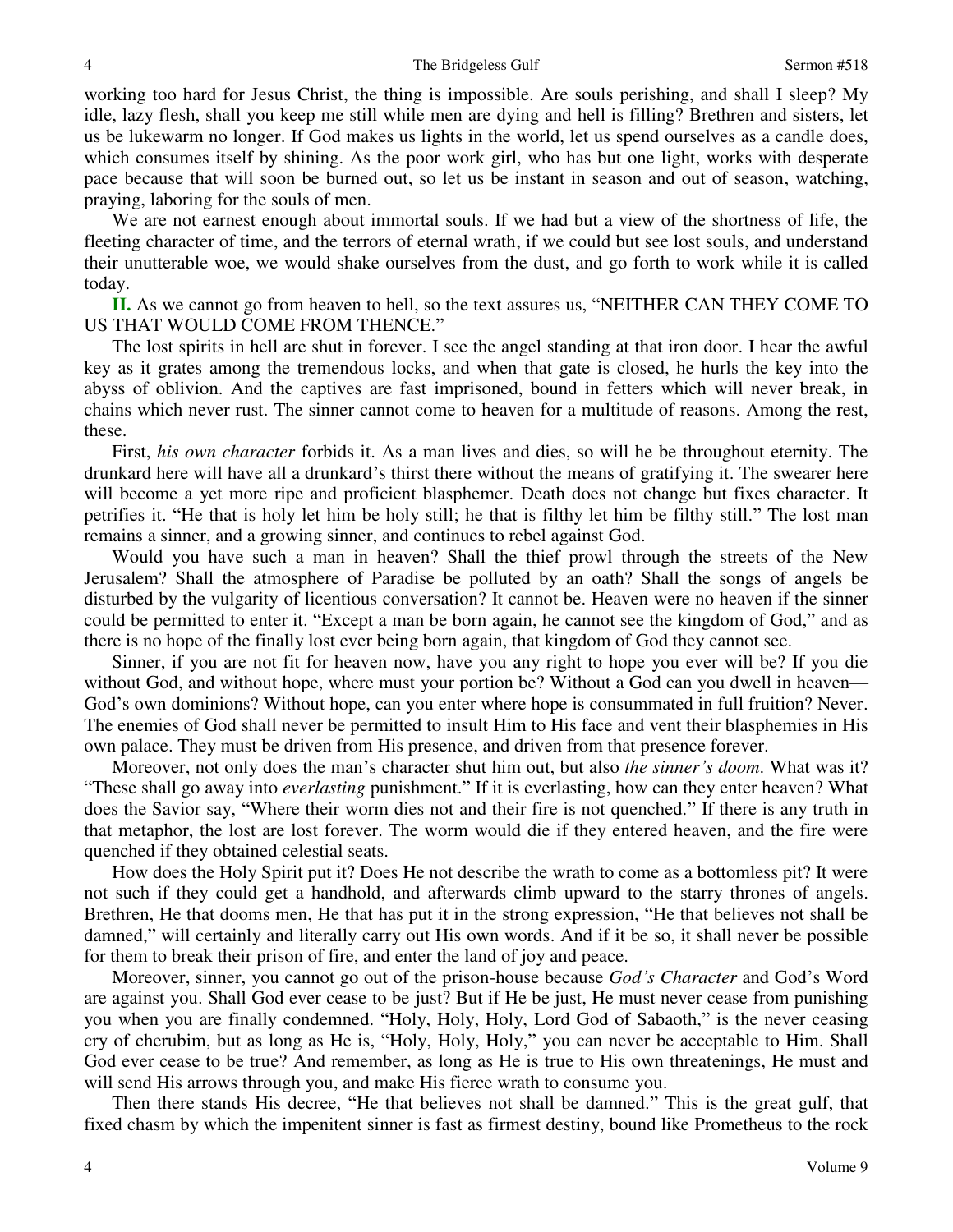working too hard for Jesus Christ, the thing is impossible. Are souls perishing, and shall I sleep? My idle, lazy flesh, shall you keep me still while men are dying and hell is filling? Brethren and sisters, let us be lukewarm no longer. If God makes us lights in the world, let us spend ourselves as a candle does, which consumes itself by shining. As the poor work girl, who has but one light, works with desperate pace because that will soon be burned out, so let us be instant in season and out of season, watching, praying, laboring for the souls of men.

We are not earnest enough about immortal souls. If we had but a view of the shortness of life, the fleeting character of time, and the terrors of eternal wrath, if we could but see lost souls, and understand their unutterable woe, we would shake ourselves from the dust, and go forth to work while it is called today.

**II.** As we cannot go from heaven to hell, so the text assures us, "NEITHER CAN THEY COME TO US THAT WOULD COME FROM THENCE."

The lost spirits in hell are shut in forever. I see the angel standing at that iron door. I hear the awful key as it grates among the tremendous locks, and when that gate is closed, he hurls the key into the abyss of oblivion. And the captives are fast imprisoned, bound in fetters which will never break, in chains which never rust. The sinner cannot come to heaven for a multitude of reasons. Among the rest, these.

First, *his own character* forbids it. As a man lives and dies, so will he be throughout eternity. The drunkard here will have all a drunkard's thirst there without the means of gratifying it. The swearer here will become a yet more ripe and proficient blasphemer. Death does not change but fixes character. It petrifies it. "He that is holy let him be holy still; he that is filthy let him be filthy still." The lost man remains a sinner, and a growing sinner, and continues to rebel against God.

Would you have such a man in heaven? Shall the thief prowl through the streets of the New Jerusalem? Shall the atmosphere of Paradise be polluted by an oath? Shall the songs of angels be disturbed by the vulgarity of licentious conversation? It cannot be. Heaven were no heaven if the sinner could be permitted to enter it. "Except a man be born again, he cannot see the kingdom of God," and as there is no hope of the finally lost ever being born again, that kingdom of God they cannot see.

Sinner, if you are not fit for heaven now, have you any right to hope you ever will be? If you die without God, and without hope, where must your portion be? Without a God can you dwell in heaven— God's own dominions? Without hope, can you enter where hope is consummated in full fruition? Never. The enemies of God shall never be permitted to insult Him to His face and vent their blasphemies in His own palace. They must be driven from His presence, and driven from that presence forever.

Moreover, not only does the man's character shut him out, but also *the sinner's doom*. What was it? "These shall go away into *everlasting* punishment." If it is everlasting, how can they enter heaven? What does the Savior say, "Where their worm dies not and their fire is not quenched." If there is any truth in that metaphor, the lost are lost forever. The worm would die if they entered heaven, and the fire were quenched if they obtained celestial seats.

How does the Holy Spirit put it? Does He not describe the wrath to come as a bottomless pit? It were not such if they could get a handhold, and afterwards climb upward to the starry thrones of angels. Brethren, He that dooms men, He that has put it in the strong expression, "He that believes not shall be damned," will certainly and literally carry out His own words. And if it be so, it shall never be possible for them to break their prison of fire, and enter the land of joy and peace.

Moreover, sinner, you cannot go out of the prison-house because *God's Character* and God's Word are against you. Shall God ever cease to be just? But if He be just, He must never cease from punishing you when you are finally condemned. "Holy, Holy, Holy, Lord God of Sabaoth," is the never ceasing cry of cherubim, but as long as He is, "Holy, Holy, Holy," you can never be acceptable to Him. Shall God ever cease to be true? And remember, as long as He is true to His own threatenings, He must and will send His arrows through you, and make His fierce wrath to consume you.

Then there stands His decree, "He that believes not shall be damned." This is the great gulf, that fixed chasm by which the impenitent sinner is fast as firmest destiny, bound like Prometheus to the rock

4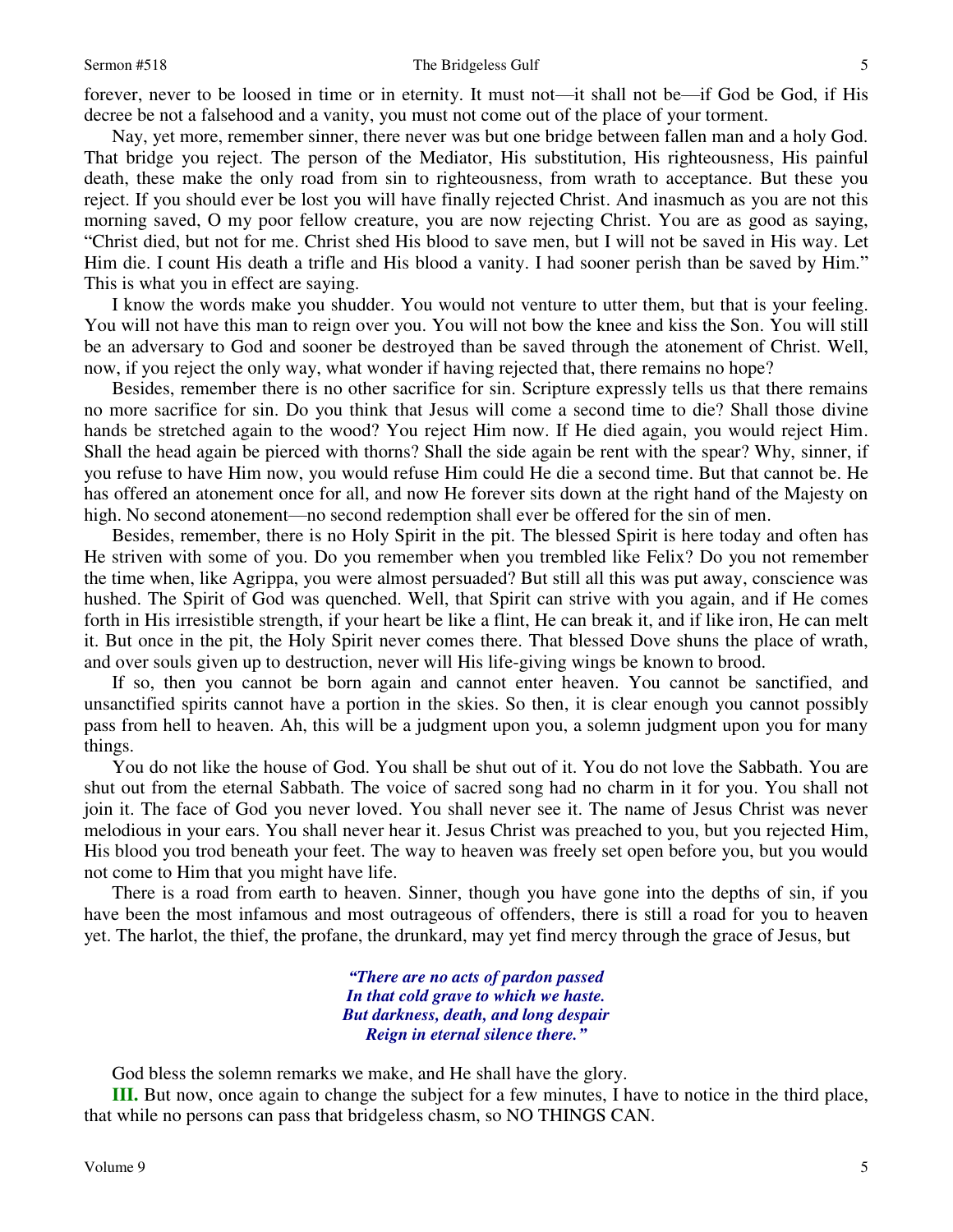forever, never to be loosed in time or in eternity. It must not—it shall not be—if God be God, if His decree be not a falsehood and a vanity, you must not come out of the place of your torment.

Nay, yet more, remember sinner, there never was but one bridge between fallen man and a holy God. That bridge you reject. The person of the Mediator, His substitution, His righteousness, His painful death, these make the only road from sin to righteousness, from wrath to acceptance. But these you reject. If you should ever be lost you will have finally rejected Christ. And inasmuch as you are not this morning saved, O my poor fellow creature, you are now rejecting Christ. You are as good as saying, "Christ died, but not for me. Christ shed His blood to save men, but I will not be saved in His way. Let Him die. I count His death a trifle and His blood a vanity. I had sooner perish than be saved by Him." This is what you in effect are saying.

I know the words make you shudder. You would not venture to utter them, but that is your feeling. You will not have this man to reign over you. You will not bow the knee and kiss the Son. You will still be an adversary to God and sooner be destroyed than be saved through the atonement of Christ. Well, now, if you reject the only way, what wonder if having rejected that, there remains no hope?

Besides, remember there is no other sacrifice for sin. Scripture expressly tells us that there remains no more sacrifice for sin. Do you think that Jesus will come a second time to die? Shall those divine hands be stretched again to the wood? You reject Him now. If He died again, you would reject Him. Shall the head again be pierced with thorns? Shall the side again be rent with the spear? Why, sinner, if you refuse to have Him now, you would refuse Him could He die a second time. But that cannot be. He has offered an atonement once for all, and now He forever sits down at the right hand of the Majesty on high. No second atonement—no second redemption shall ever be offered for the sin of men.

Besides, remember, there is no Holy Spirit in the pit. The blessed Spirit is here today and often has He striven with some of you. Do you remember when you trembled like Felix? Do you not remember the time when, like Agrippa, you were almost persuaded? But still all this was put away, conscience was hushed. The Spirit of God was quenched. Well, that Spirit can strive with you again, and if He comes forth in His irresistible strength, if your heart be like a flint, He can break it, and if like iron, He can melt it. But once in the pit, the Holy Spirit never comes there. That blessed Dove shuns the place of wrath, and over souls given up to destruction, never will His life-giving wings be known to brood.

If so, then you cannot be born again and cannot enter heaven. You cannot be sanctified, and unsanctified spirits cannot have a portion in the skies. So then, it is clear enough you cannot possibly pass from hell to heaven. Ah, this will be a judgment upon you, a solemn judgment upon you for many things.

You do not like the house of God. You shall be shut out of it. You do not love the Sabbath. You are shut out from the eternal Sabbath. The voice of sacred song had no charm in it for you. You shall not join it. The face of God you never loved. You shall never see it. The name of Jesus Christ was never melodious in your ears. You shall never hear it. Jesus Christ was preached to you, but you rejected Him, His blood you trod beneath your feet. The way to heaven was freely set open before you, but you would not come to Him that you might have life.

There is a road from earth to heaven. Sinner, though you have gone into the depths of sin, if you have been the most infamous and most outrageous of offenders, there is still a road for you to heaven yet. The harlot, the thief, the profane, the drunkard, may yet find mercy through the grace of Jesus, but

> *"There are no acts of pardon passed In that cold grave to which we haste. But darkness, death, and long despair Reign in eternal silence there."*

God bless the solemn remarks we make, and He shall have the glory.

**III.** But now, once again to change the subject for a few minutes, I have to notice in the third place, that while no persons can pass that bridgeless chasm, so NO THINGS CAN.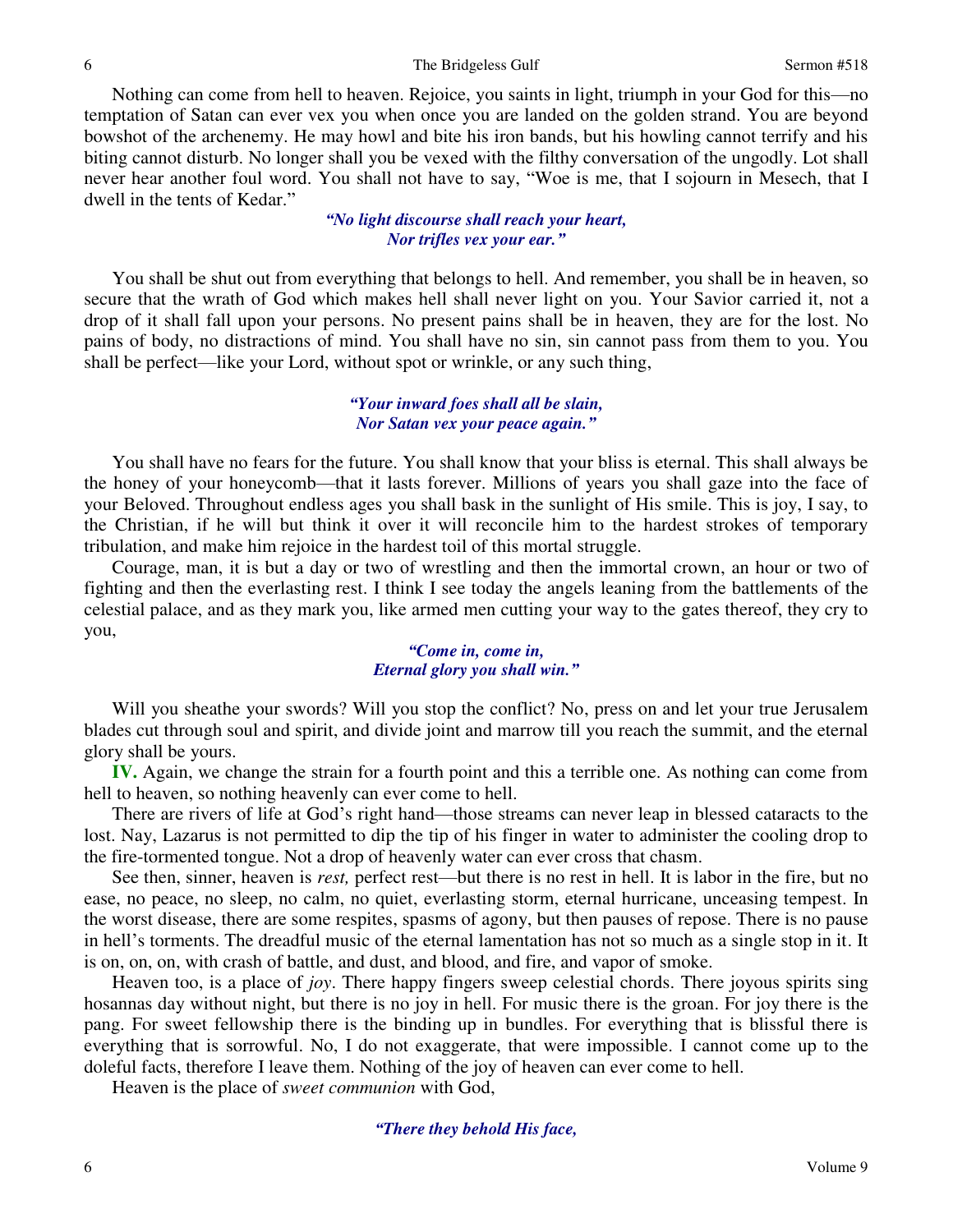6

Nothing can come from hell to heaven. Rejoice, you saints in light, triumph in your God for this—no temptation of Satan can ever vex you when once you are landed on the golden strand. You are beyond bowshot of the archenemy. He may howl and bite his iron bands, but his howling cannot terrify and his biting cannot disturb. No longer shall you be vexed with the filthy conversation of the ungodly. Lot shall never hear another foul word. You shall not have to say, "Woe is me, that I sojourn in Mesech, that I dwell in the tents of Kedar."

## *"No light discourse shall reach your heart, Nor trifles vex your ear."*

You shall be shut out from everything that belongs to hell. And remember, you shall be in heaven, so secure that the wrath of God which makes hell shall never light on you. Your Savior carried it, not a drop of it shall fall upon your persons. No present pains shall be in heaven, they are for the lost. No pains of body, no distractions of mind. You shall have no sin, sin cannot pass from them to you. You shall be perfect—like your Lord, without spot or wrinkle, or any such thing,

## *"Your inward foes shall all be slain, Nor Satan vex your peace again."*

You shall have no fears for the future. You shall know that your bliss is eternal. This shall always be the honey of your honeycomb—that it lasts forever. Millions of years you shall gaze into the face of your Beloved. Throughout endless ages you shall bask in the sunlight of His smile. This is joy, I say, to the Christian, if he will but think it over it will reconcile him to the hardest strokes of temporary tribulation, and make him rejoice in the hardest toil of this mortal struggle.

Courage, man, it is but a day or two of wrestling and then the immortal crown, an hour or two of fighting and then the everlasting rest. I think I see today the angels leaning from the battlements of the celestial palace, and as they mark you, like armed men cutting your way to the gates thereof, they cry to you,

#### *"Come in, come in, Eternal glory you shall win."*

Will you sheathe your swords? Will you stop the conflict? No, press on and let your true Jerusalem blades cut through soul and spirit, and divide joint and marrow till you reach the summit, and the eternal glory shall be yours.

**IV.** Again, we change the strain for a fourth point and this a terrible one. As nothing can come from hell to heaven, so nothing heavenly can ever come to hell.

There are rivers of life at God's right hand—those streams can never leap in blessed cataracts to the lost. Nay, Lazarus is not permitted to dip the tip of his finger in water to administer the cooling drop to the fire-tormented tongue. Not a drop of heavenly water can ever cross that chasm.

See then, sinner, heaven is *rest,* perfect rest—but there is no rest in hell. It is labor in the fire, but no ease, no peace, no sleep, no calm, no quiet, everlasting storm, eternal hurricane, unceasing tempest. In the worst disease, there are some respites, spasms of agony, but then pauses of repose. There is no pause in hell's torments. The dreadful music of the eternal lamentation has not so much as a single stop in it. It is on, on, on, with crash of battle, and dust, and blood, and fire, and vapor of smoke.

Heaven too, is a place of *joy*. There happy fingers sweep celestial chords. There joyous spirits sing hosannas day without night, but there is no joy in hell. For music there is the groan. For joy there is the pang. For sweet fellowship there is the binding up in bundles. For everything that is blissful there is everything that is sorrowful. No, I do not exaggerate, that were impossible. I cannot come up to the doleful facts, therefore I leave them. Nothing of the joy of heaven can ever come to hell.

Heaven is the place of *sweet communion* with God,

#### *"There they behold His face,*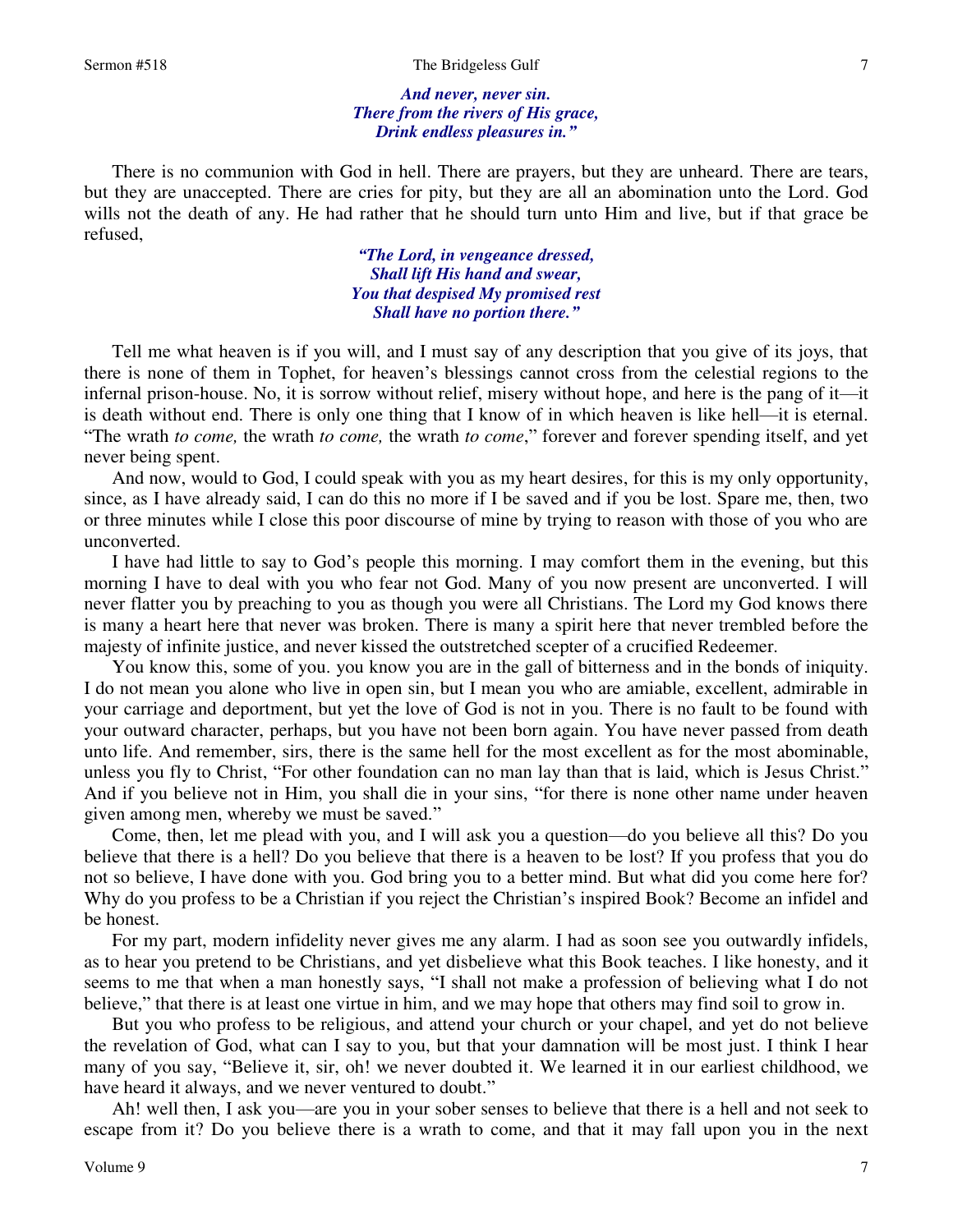#### Sermon #518 The Bridgeless Gulf

*And never, never sin. There from the rivers of His grace, Drink endless pleasures in."*

There is no communion with God in hell. There are prayers, but they are unheard. There are tears, but they are unaccepted. There are cries for pity, but they are all an abomination unto the Lord. God wills not the death of any. He had rather that he should turn unto Him and live, but if that grace be refused,

> *"The Lord, in vengeance dressed, Shall lift His hand and swear, You that despised My promised rest Shall have no portion there."*

Tell me what heaven is if you will, and I must say of any description that you give of its joys, that there is none of them in Tophet, for heaven's blessings cannot cross from the celestial regions to the infernal prison-house. No, it is sorrow without relief, misery without hope, and here is the pang of it—it is death without end. There is only one thing that I know of in which heaven is like hell—it is eternal. "The wrath *to come,* the wrath *to come,* the wrath *to come*," forever and forever spending itself, and yet never being spent.

And now, would to God, I could speak with you as my heart desires, for this is my only opportunity, since, as I have already said, I can do this no more if I be saved and if you be lost. Spare me, then, two or three minutes while I close this poor discourse of mine by trying to reason with those of you who are unconverted.

I have had little to say to God's people this morning. I may comfort them in the evening, but this morning I have to deal with you who fear not God. Many of you now present are unconverted. I will never flatter you by preaching to you as though you were all Christians. The Lord my God knows there is many a heart here that never was broken. There is many a spirit here that never trembled before the majesty of infinite justice, and never kissed the outstretched scepter of a crucified Redeemer.

You know this, some of you. you know you are in the gall of bitterness and in the bonds of iniquity. I do not mean you alone who live in open sin, but I mean you who are amiable, excellent, admirable in your carriage and deportment, but yet the love of God is not in you. There is no fault to be found with your outward character, perhaps, but you have not been born again. You have never passed from death unto life. And remember, sirs, there is the same hell for the most excellent as for the most abominable, unless you fly to Christ, "For other foundation can no man lay than that is laid, which is Jesus Christ." And if you believe not in Him, you shall die in your sins, "for there is none other name under heaven given among men, whereby we must be saved."

Come, then, let me plead with you, and I will ask you a question—do you believe all this? Do you believe that there is a hell? Do you believe that there is a heaven to be lost? If you profess that you do not so believe, I have done with you. God bring you to a better mind. But what did you come here for? Why do you profess to be a Christian if you reject the Christian's inspired Book? Become an infidel and be honest.

For my part, modern infidelity never gives me any alarm. I had as soon see you outwardly infidels, as to hear you pretend to be Christians, and yet disbelieve what this Book teaches. I like honesty, and it seems to me that when a man honestly says, "I shall not make a profession of believing what I do not believe," that there is at least one virtue in him, and we may hope that others may find soil to grow in.

But you who profess to be religious, and attend your church or your chapel, and yet do not believe the revelation of God, what can I say to you, but that your damnation will be most just. I think I hear many of you say, "Believe it, sir, oh! we never doubted it. We learned it in our earliest childhood, we have heard it always, and we never ventured to doubt."

Ah! well then, I ask you—are you in your sober senses to believe that there is a hell and not seek to escape from it? Do you believe there is a wrath to come, and that it may fall upon you in the next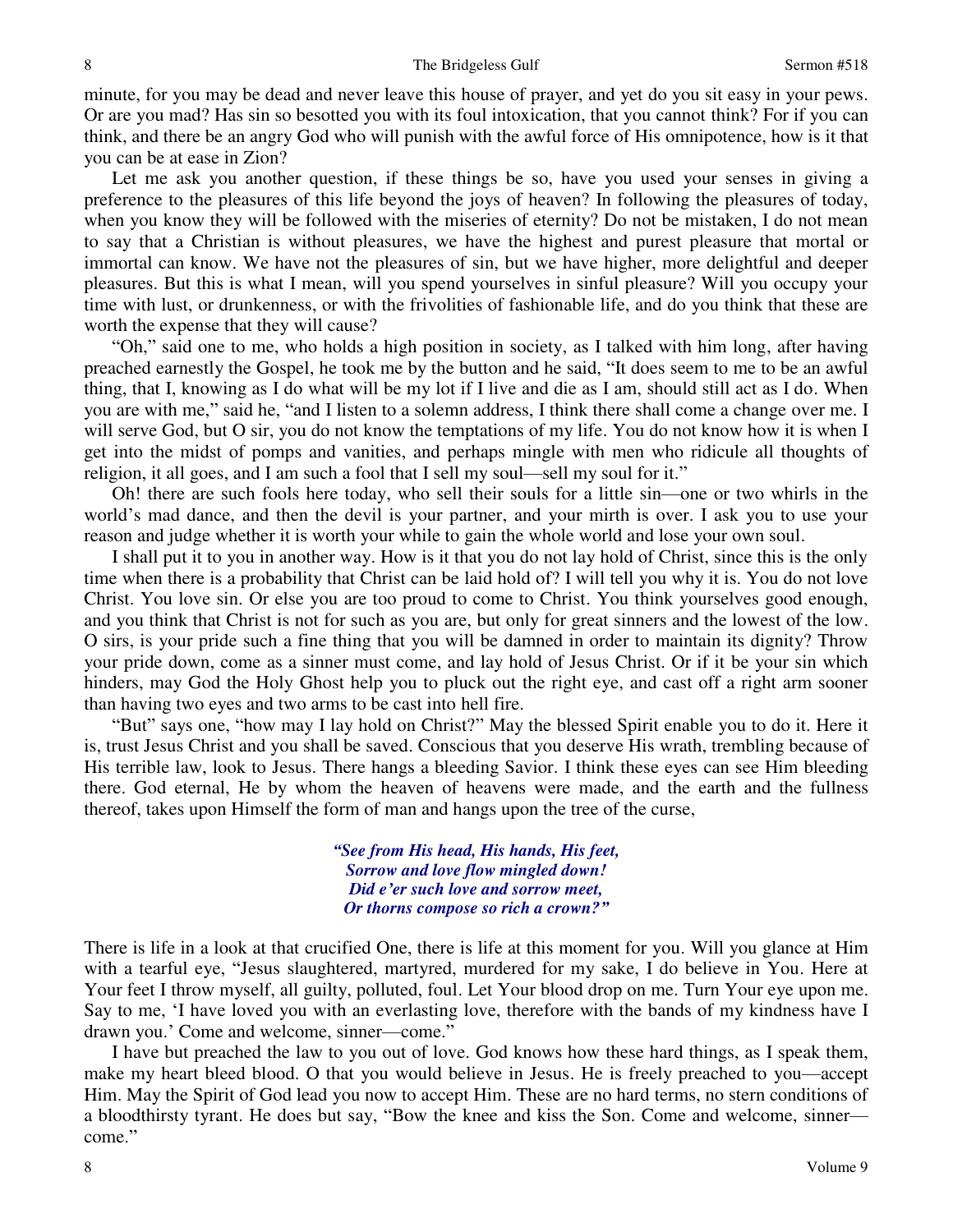minute, for you may be dead and never leave this house of prayer, and yet do you sit easy in your pews. Or are you mad? Has sin so besotted you with its foul intoxication, that you cannot think? For if you can think, and there be an angry God who will punish with the awful force of His omnipotence, how is it that you can be at ease in Zion?

Let me ask you another question, if these things be so, have you used your senses in giving a preference to the pleasures of this life beyond the joys of heaven? In following the pleasures of today, when you know they will be followed with the miseries of eternity? Do not be mistaken, I do not mean to say that a Christian is without pleasures, we have the highest and purest pleasure that mortal or immortal can know. We have not the pleasures of sin, but we have higher, more delightful and deeper pleasures. But this is what I mean, will you spend yourselves in sinful pleasure? Will you occupy your time with lust, or drunkenness, or with the frivolities of fashionable life, and do you think that these are worth the expense that they will cause?

"Oh," said one to me, who holds a high position in society, as I talked with him long, after having preached earnestly the Gospel, he took me by the button and he said, "It does seem to me to be an awful thing, that I, knowing as I do what will be my lot if I live and die as I am, should still act as I do. When you are with me," said he, "and I listen to a solemn address, I think there shall come a change over me. I will serve God, but O sir, you do not know the temptations of my life. You do not know how it is when I get into the midst of pomps and vanities, and perhaps mingle with men who ridicule all thoughts of religion, it all goes, and I am such a fool that I sell my soul—sell my soul for it."

Oh! there are such fools here today, who sell their souls for a little sin—one or two whirls in the world's mad dance, and then the devil is your partner, and your mirth is over. I ask you to use your reason and judge whether it is worth your while to gain the whole world and lose your own soul.

I shall put it to you in another way. How is it that you do not lay hold of Christ, since this is the only time when there is a probability that Christ can be laid hold of? I will tell you why it is. You do not love Christ. You love sin. Or else you are too proud to come to Christ. You think yourselves good enough, and you think that Christ is not for such as you are, but only for great sinners and the lowest of the low. O sirs, is your pride such a fine thing that you will be damned in order to maintain its dignity? Throw your pride down, come as a sinner must come, and lay hold of Jesus Christ. Or if it be your sin which hinders, may God the Holy Ghost help you to pluck out the right eye, and cast off a right arm sooner than having two eyes and two arms to be cast into hell fire.

"But" says one, "how may I lay hold on Christ?" May the blessed Spirit enable you to do it. Here it is, trust Jesus Christ and you shall be saved. Conscious that you deserve His wrath, trembling because of His terrible law, look to Jesus. There hangs a bleeding Savior. I think these eyes can see Him bleeding there. God eternal, He by whom the heaven of heavens were made, and the earth and the fullness thereof, takes upon Himself the form of man and hangs upon the tree of the curse,

> *"See from His head, His hands, His feet, Sorrow and love flow mingled down! Did e'er such love and sorrow meet, Or thorns compose so rich a crown?"*

There is life in a look at that crucified One, there is life at this moment for you. Will you glance at Him with a tearful eye, "Jesus slaughtered, martyred, murdered for my sake, I do believe in You. Here at Your feet I throw myself, all guilty, polluted, foul. Let Your blood drop on me. Turn Your eye upon me. Say to me, 'I have loved you with an everlasting love, therefore with the bands of my kindness have I drawn you.' Come and welcome, sinner—come."

I have but preached the law to you out of love. God knows how these hard things, as I speak them, make my heart bleed blood. O that you would believe in Jesus. He is freely preached to you—accept Him. May the Spirit of God lead you now to accept Him. These are no hard terms, no stern conditions of a bloodthirsty tyrant. He does but say, "Bow the knee and kiss the Son. Come and welcome, sinner come."